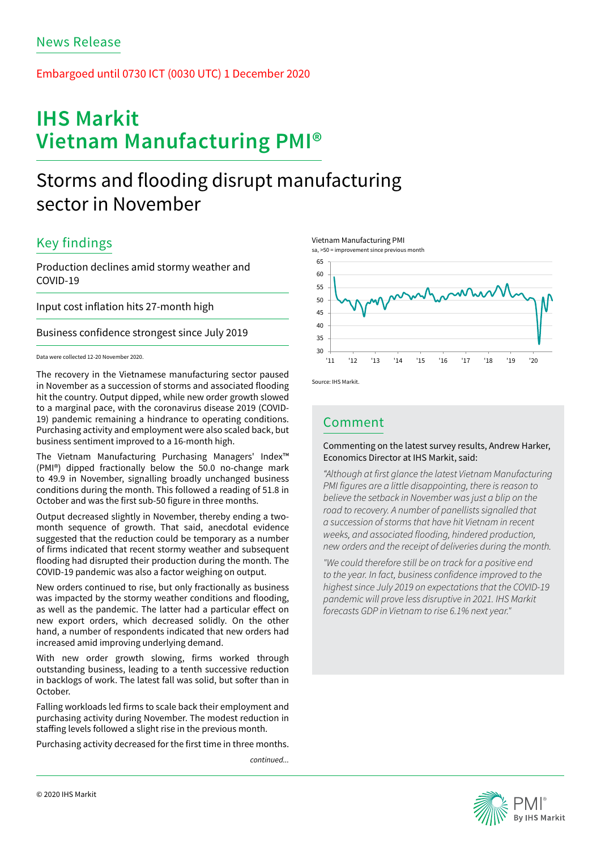## Embargoed until 0730 ICT (0030 UTC) 1 December 2020

# **IHS Markit Vietnam Manufacturing PMI®**

# Storms and flooding disrupt manufacturing sector in November

# Key findings

Production declines amid stormy weather and COVID-19

Input cost inflation hits 27-month high

Business confidence strongest since July 2019

## Data were collected 12-20 November 2020.

The recovery in the Vietnamese manufacturing sector paused in November as a succession of storms and associated flooding hit the country. Output dipped, while new order growth slowed to a marginal pace, with the coronavirus disease 2019 (COVID-19) pandemic remaining a hindrance to operating conditions. Purchasing activity and employment were also scaled back, but business sentiment improved to a 16-month high.

The Vietnam Manufacturing Purchasing Managers' Index™ (PMI®) dipped fractionally below the 50.0 no-change mark to 49.9 in November, signalling broadly unchanged business conditions during the month. This followed a reading of 51.8 in October and was the first sub-50 figure in three months.

Output decreased slightly in November, thereby ending a twomonth sequence of growth. That said, anecdotal evidence suggested that the reduction could be temporary as a number of firms indicated that recent stormy weather and subsequent flooding had disrupted their production during the month. The COVID-19 pandemic was also a factor weighing on output.

New orders continued to rise, but only fractionally as business was impacted by the stormy weather conditions and flooding, as well as the pandemic. The latter had a particular effect on new export orders, which decreased solidly. On the other hand, a number of respondents indicated that new orders had increased amid improving underlying demand.

With new order growth slowing, firms worked through outstanding business, leading to a tenth successive reduction in backlogs of work. The latest fall was solid, but softer than in **October** 

Falling workloads led firms to scale back their employment and purchasing activity during November. The modest reduction in staffing levels followed a slight rise in the previous month.

Purchasing activity decreased for the first time in three months.

*continued...*







Source: IHS Markit.

# Comment

## Commenting on the latest survey results, Andrew Harker, Economics Director at IHS Markit, said:

*"Although at first glance the latest Vietnam Manufacturing PMI figures are a little disappointing, there is reason to believe the setback in November was just a blip on the road to recovery. A number of panellists signalled that a succession of storms that have hit Vietnam in recent weeks, and associated flooding, hindered production, new orders and the receipt of deliveries during the month.* 

*"We could therefore still be on track for a positive end to the year. In fact, business confidence improved to the highest since July 2019 on expectations that the COVID-19 pandemic will prove less disruptive in 2021. IHS Markit forecasts GDP in Vietnam to rise 6.1% next year."*